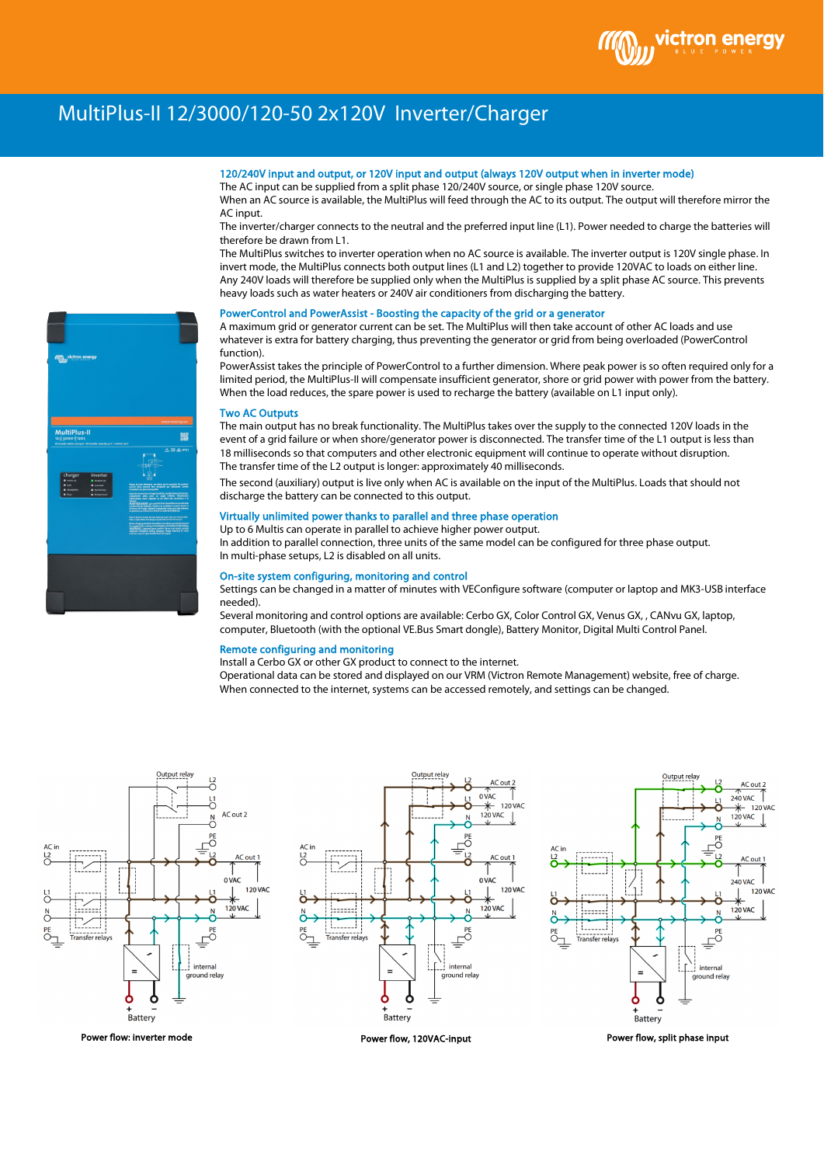

# MultiPlus-II 12/3000/120-50 2x120V Inverter/Charger

# 120/240V input and output, or 120V input and output (always 120V output when in inverter mode)

The AC input can be supplied from a split phase 120/240V source, or single phase 120V source. When an AC source is available, the MultiPlus will feed through the AC to its output. The output will therefore mirror the AC input.

The inverter/charger connects to the neutral and the preferred input line (L1). Power needed to charge the batteries will therefore be drawn from L1.

The MultiPlus switches to inverter operation when no AC source is available. The inverter output is 120V single phase. In invert mode, the MultiPlus connects both output lines (L1 and L2) together to provide 120VAC to loads on either line. Any 240V loads will therefore be supplied only when the MultiPlus is supplied by a split phase AC source. This prevents heavy loads such as water heaters or 240V air conditioners from discharging the battery.

#### PowerControl and PowerAssist - Boosting the capacity of the grid or a generator

A maximum grid or generator current can be set. The MultiPlus will then take account of other AC loads and use whatever is extra for battery charging, thus preventing the generator or grid from being overloaded (PowerControl function).

PowerAssist takes the principle of PowerControl to a further dimension. Where peak power is so often required only for a limited period, the MultiPlus-II will compensate insufficient generator, shore or grid power with power from the battery. When the load reduces, the spare power is used to recharge the battery (available on L1 input only).

#### Two AC Outputs

The main output has no break functionality. The MultiPlus takes over the supply to the connected 120V loads in the event of a grid failure or when shore/generator power is disconnected. The transfer time of the L1 output is less than 18 milliseconds so that computers and other electronic equipment will continue to operate without disruption. The transfer time of the L2 output is longer: approximately 40 milliseconds.

The second (auxiliary) output is live only when AC is available on the input of the MultiPlus. Loads that should not discharge the battery can be connected to this output.

### Virtually unlimited power thanks to parallel and three phase operation

Up to 6 Multis can operate in parallel to achieve higher power output. In addition to parallel connection, three units of the same model can be configured for three phase output. In multi-phase setups, L2 is disabled on all units.

#### On-site system configuring, monitoring and control

Settings can be changed in a matter of minutes with VEConfigure software (computer or laptop and MK3-USB interface needed).

Several monitoring and control options are available: Cerbo GX, Color Control GX, Venus GX, , CANvu GX, laptop, computer, Bluetooth (with the optional VE.Bus Smart dongle), Battery Monitor, Digital Multi Control Panel.

#### Remote configuring and monitoring

Install a Cerbo GX or other GX product to connect to the internet.

Operational data can be stored and displayed on our VRM (Victron Remote Management) website, free of charge. When connected to the internet, systems can be accessed remotely, and settings can be changed.

AC out 2





Output relay



Power flow, split phase input